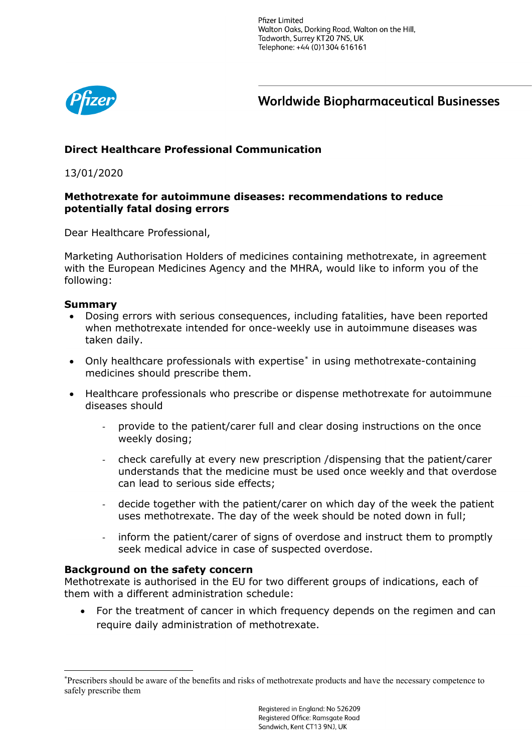**Pfizer Limited** Walton Oaks, Dorking Road, Walton on the Hill, Tadworth, Surrey KT20 7NS, UK Telephone: +44 (0)1304 616161



**Worldwide Biopharmaceutical Businesses** 

# **Direct Healthcare Professional Communication**

13/01/2020

## **Methotrexate for autoimmune diseases: recommendations to reduce potentially fatal dosing errors**

Dear Healthcare Professional,

Marketing Authorisation Holders of medicines containing methotrexate, in agreement with the European Medicines Agency and the MHRA, would like to inform you of the following:

### **Summary**

- Dosing errors with serious consequences, including fatalities, have been reported when methotrexate intended for once-weekly use in autoimmune diseases was taken daily.
- Only healthcare professionals with expertise<sup>[\\*](#page-0-0)</sup> in using methotrexate-containing medicines should prescribe them.
- Healthcare professionals who prescribe or dispense methotrexate for autoimmune diseases should
	- provide to the patient/carer full and clear dosing instructions on the once weekly dosing;
	- check carefully at every new prescription /dispensing that the patient/carer understands that the medicine must be used once weekly and that overdose can lead to serious side effects;
	- decide together with the patient/carer on which day of the week the patient uses methotrexate. The day of the week should be noted down in full;
	- inform the patient/carer of signs of overdose and instruct them to promptly seek medical advice in case of suspected overdose.

#### **Background on the safety concern**

Methotrexate is authorised in the EU for two different groups of indications, each of them with a different administration schedule:

• For the treatment of cancer in which frequency depends on the regimen and can require daily administration of methotrexate.

<span id="page-0-0"></span> <sup>\*</sup> Prescribers should be aware of the benefits and risks of methotrexate products and have the necessary competence to safely prescribe them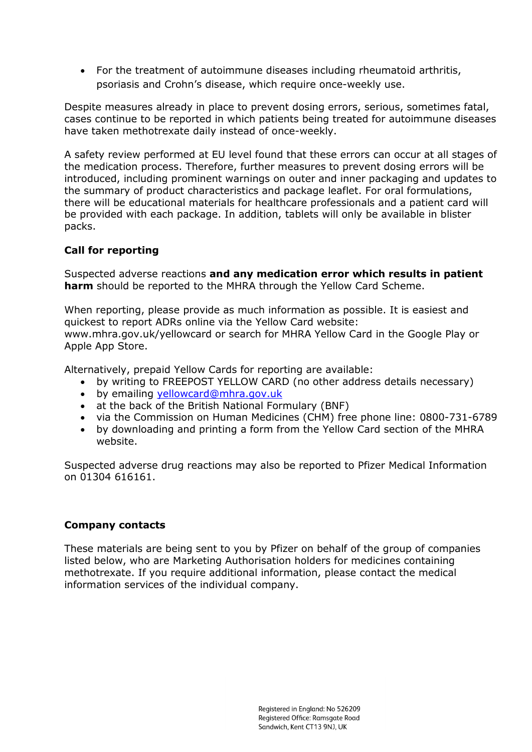• For the treatment of autoimmune diseases including rheumatoid arthritis, psoriasis and Crohn's disease, which require once-weekly use.

Despite measures already in place to prevent dosing errors, serious, sometimes fatal, cases continue to be reported in which patients being treated for autoimmune diseases have taken methotrexate daily instead of once-weekly.

A safety review performed at EU level found that these errors can occur at all stages of the medication process. Therefore, further measures to prevent dosing errors will be introduced, including prominent warnings on outer and inner packaging and updates to the summary of product characteristics and package leaflet. For oral formulations, there will be educational materials for healthcare professionals and a patient card will be provided with each package. In addition, tablets will only be available in blister packs.

## **Call for reporting**

Suspected adverse reactions **and any medication error which results in patient harm** should be reported to the MHRA through the Yellow Card Scheme.

When reporting, please provide as much information as possible. It is easiest and quickest to report ADRs online via the Yellow Card website: www.mhra.gov.uk/yellowcard or search for MHRA Yellow Card in the Google Play or Apple App Store.

Alternatively, prepaid Yellow Cards for reporting are available:

- by writing to FREEPOST YELLOW CARD (no other address details necessary)
- by emailing [yellowcard@mhra.gov.uk](mailto:yellowcard@mhra.gov.uk)
- at the back of the British National Formulary (BNF)
- via the Commission on Human Medicines (CHM) free phone line: 0800-731-6789
- by downloading and printing a form from the Yellow Card section of the MHRA website.

Suspected adverse drug reactions may also be reported to Pfizer Medical Information on 01304 616161.

## **Company contacts**

These materials are being sent to you by Pfizer on behalf of the group of companies listed below, who are Marketing Authorisation holders for medicines containing methotrexate. If you require additional information, please contact the medical information services of the individual company.